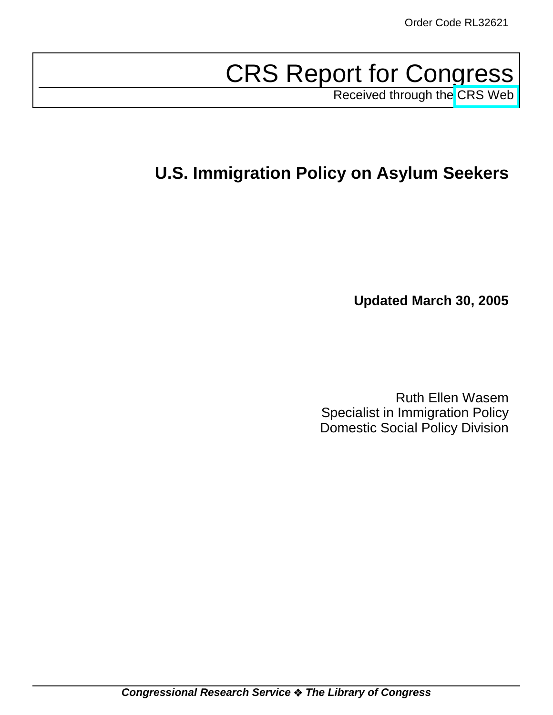# CRS Report for Congress

Received through the [CRS Web](http://www.fas.org/sgp/crs/misc/index.html)

# **U.S. Immigration Policy on Asylum Seekers**

**Updated March 30, 2005**

Ruth Ellen Wasem Specialist in Immigration Policy Domestic Social Policy Division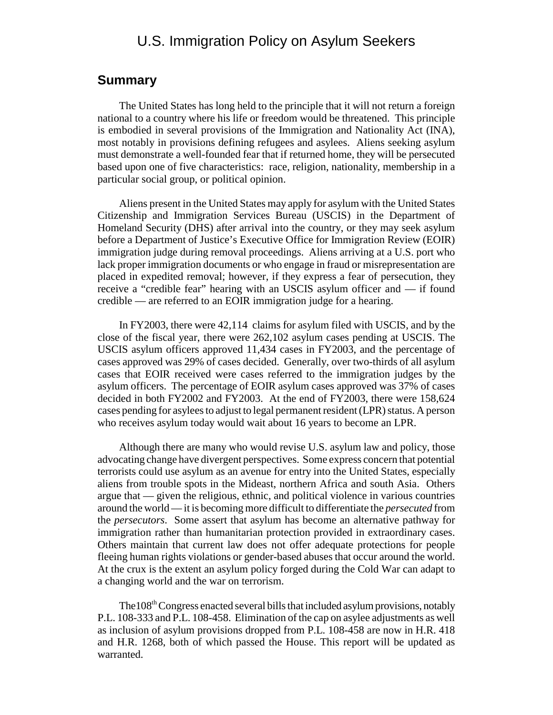# U.S. Immigration Policy on Asylum Seekers

## **Summary**

The United States has long held to the principle that it will not return a foreign national to a country where his life or freedom would be threatened. This principle is embodied in several provisions of the Immigration and Nationality Act (INA), most notably in provisions defining refugees and asylees. Aliens seeking asylum must demonstrate a well-founded fear that if returned home, they will be persecuted based upon one of five characteristics: race, religion, nationality, membership in a particular social group, or political opinion.

Aliens present in the United States may apply for asylum with the United States Citizenship and Immigration Services Bureau (USCIS) in the Department of Homeland Security (DHS) after arrival into the country, or they may seek asylum before a Department of Justice's Executive Office for Immigration Review (EOIR) immigration judge during removal proceedings. Aliens arriving at a U.S. port who lack proper immigration documents or who engage in fraud or misrepresentation are placed in expedited removal; however, if they express a fear of persecution, they receive a "credible fear" hearing with an USCIS asylum officer and — if found credible — are referred to an EOIR immigration judge for a hearing.

In FY2003, there were 42,114 claims for asylum filed with USCIS, and by the close of the fiscal year, there were 262,102 asylum cases pending at USCIS. The USCIS asylum officers approved 11,434 cases in FY2003, and the percentage of cases approved was 29% of cases decided. Generally, over two-thirds of all asylum cases that EOIR received were cases referred to the immigration judges by the asylum officers. The percentage of EOIR asylum cases approved was 37% of cases decided in both FY2002 and FY2003. At the end of FY2003, there were 158,624 cases pending for asylees to adjust to legal permanent resident (LPR) status. A person who receives asylum today would wait about 16 years to become an LPR.

Although there are many who would revise U.S. asylum law and policy, those advocating change have divergent perspectives. Some express concern that potential terrorists could use asylum as an avenue for entry into the United States, especially aliens from trouble spots in the Mideast, northern Africa and south Asia. Others argue that — given the religious, ethnic, and political violence in various countries around the world — it is becoming more difficult to differentiate the *persecuted* from the *persecutors*. Some assert that asylum has become an alternative pathway for immigration rather than humanitarian protection provided in extraordinary cases. Others maintain that current law does not offer adequate protections for people fleeing human rights violations or gender-based abuses that occur around the world. At the crux is the extent an asylum policy forged during the Cold War can adapt to a changing world and the war on terrorism.

The108th Congress enacted several bills that included asylum provisions, notably P.L. 108-333 and P.L. 108-458. Elimination of the cap on asylee adjustments as well as inclusion of asylum provisions dropped from P.L. 108-458 are now in H.R. 418 and H.R. 1268, both of which passed the House. This report will be updated as warranted.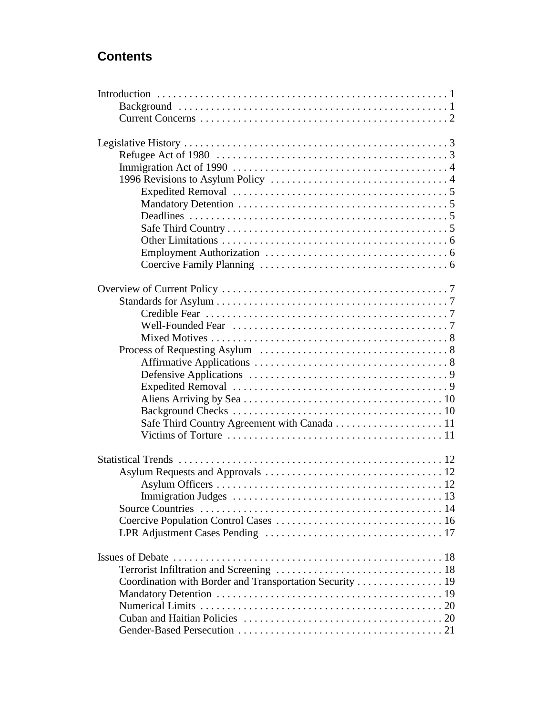# **Contents**

| Coordination with Border and Transportation Security  19 |  |
|----------------------------------------------------------|--|
|                                                          |  |
|                                                          |  |
|                                                          |  |
|                                                          |  |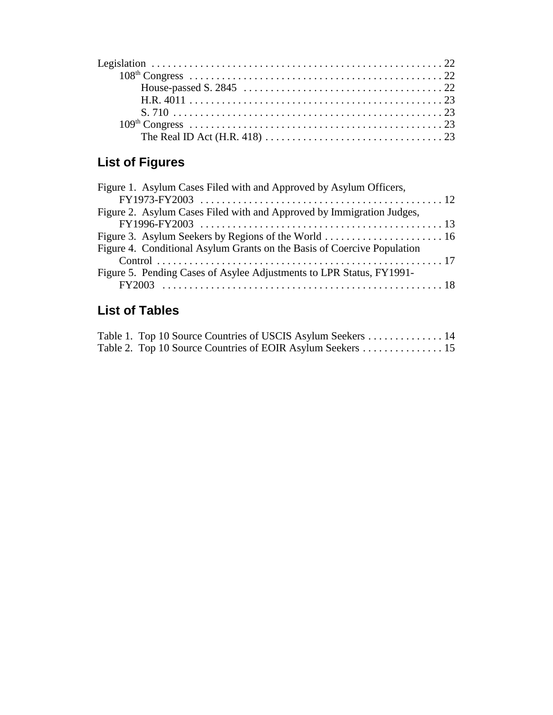# **List of Figures**

| Figure 1. Asylum Cases Filed with and Approved by Asylum Officers,      |  |
|-------------------------------------------------------------------------|--|
|                                                                         |  |
| Figure 2. Asylum Cases Filed with and Approved by Immigration Judges,   |  |
|                                                                         |  |
|                                                                         |  |
| Figure 4. Conditional Asylum Grants on the Basis of Coercive Population |  |
|                                                                         |  |
| Figure 5. Pending Cases of Asylee Adjustments to LPR Status, FY1991-    |  |
|                                                                         |  |

# **List of Tables**

| Table 1. Top 10 Source Countries of USCIS Asylum Seekers  14 |  |
|--------------------------------------------------------------|--|
| Table 2. Top 10 Source Countries of EOIR Asylum Seekers 15   |  |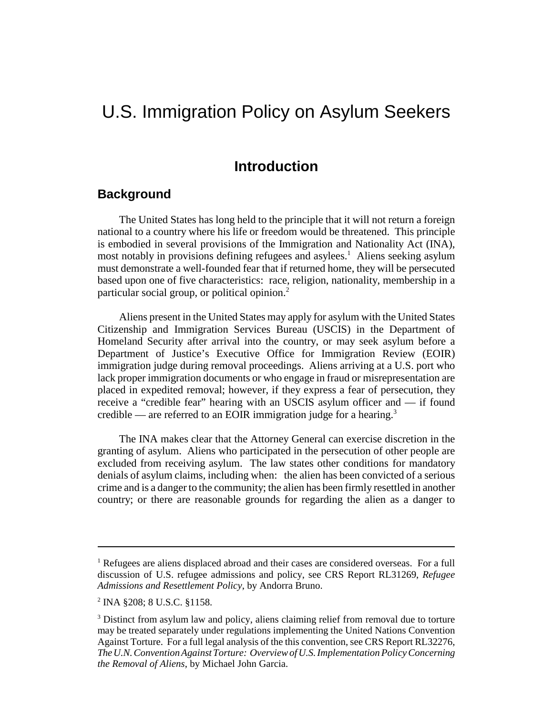# U.S. Immigration Policy on Asylum Seekers

## **Introduction**

## **Background**

The United States has long held to the principle that it will not return a foreign national to a country where his life or freedom would be threatened. This principle is embodied in several provisions of the Immigration and Nationality Act (INA), most notably in provisions defining refugees and asylees.<sup>1</sup> Aliens seeking asylum must demonstrate a well-founded fear that if returned home, they will be persecuted based upon one of five characteristics: race, religion, nationality, membership in a particular social group, or political opinion.<sup>2</sup>

Aliens present in the United States may apply for asylum with the United States Citizenship and Immigration Services Bureau (USCIS) in the Department of Homeland Security after arrival into the country, or may seek asylum before a Department of Justice's Executive Office for Immigration Review (EOIR) immigration judge during removal proceedings. Aliens arriving at a U.S. port who lack proper immigration documents or who engage in fraud or misrepresentation are placed in expedited removal; however, if they express a fear of persecution, they receive a "credible fear" hearing with an USCIS asylum officer and — if found credible — are referred to an EOIR immigration judge for a hearing.<sup>3</sup>

The INA makes clear that the Attorney General can exercise discretion in the granting of asylum. Aliens who participated in the persecution of other people are excluded from receiving asylum. The law states other conditions for mandatory denials of asylum claims, including when: the alien has been convicted of a serious crime and is a danger to the community; the alien has been firmly resettled in another country; or there are reasonable grounds for regarding the alien as a danger to

<sup>&</sup>lt;sup>1</sup> Refugees are aliens displaced abroad and their cases are considered overseas. For a full discussion of U.S. refugee admissions and policy, see CRS Report RL31269, *Refugee Admissions and Resettlement Policy*, by Andorra Bruno.

<sup>2</sup> INA §208; 8 U.S.C. §1158.

<sup>&</sup>lt;sup>3</sup> Distinct from asylum law and policy, aliens claiming relief from removal due to torture may be treated separately under regulations implementing the United Nations Convention Against Torture. For a full legal analysis of the this convention, see CRS Report RL32276, *The U.N. Convention Against Torture: Overview of U.S. Implementation Policy Concerning the Removal of Aliens*, by Michael John Garcia.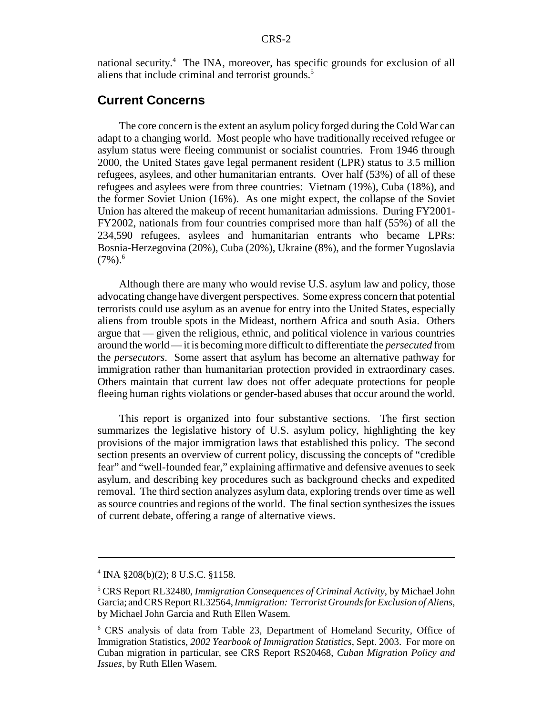national security.<sup>4</sup> The INA, moreover, has specific grounds for exclusion of all aliens that include criminal and terrorist grounds.<sup>5</sup>

## **Current Concerns**

The core concern is the extent an asylum policy forged during the Cold War can adapt to a changing world. Most people who have traditionally received refugee or asylum status were fleeing communist or socialist countries. From 1946 through 2000, the United States gave legal permanent resident (LPR) status to 3.5 million refugees, asylees, and other humanitarian entrants. Over half (53%) of all of these refugees and asylees were from three countries: Vietnam (19%), Cuba (18%), and the former Soviet Union (16%). As one might expect, the collapse of the Soviet Union has altered the makeup of recent humanitarian admissions. During FY2001- FY2002, nationals from four countries comprised more than half (55%) of all the 234,590 refugees, asylees and humanitarian entrants who became LPRs: Bosnia-Herzegovina (20%), Cuba (20%), Ukraine (8%), and the former Yugoslavia  $(7\%)$ <sup>6</sup>.

Although there are many who would revise U.S. asylum law and policy, those advocating change have divergent perspectives. Some express concern that potential terrorists could use asylum as an avenue for entry into the United States, especially aliens from trouble spots in the Mideast, northern Africa and south Asia. Others argue that — given the religious, ethnic, and political violence in various countries around the world — it is becoming more difficult to differentiate the *persecuted* from the *persecutors*. Some assert that asylum has become an alternative pathway for immigration rather than humanitarian protection provided in extraordinary cases. Others maintain that current law does not offer adequate protections for people fleeing human rights violations or gender-based abuses that occur around the world.

This report is organized into four substantive sections. The first section summarizes the legislative history of U.S. asylum policy, highlighting the key provisions of the major immigration laws that established this policy. The second section presents an overview of current policy, discussing the concepts of "credible fear" and "well-founded fear," explaining affirmative and defensive avenues to seek asylum, and describing key procedures such as background checks and expedited removal. The third section analyzes asylum data, exploring trends over time as well as source countries and regions of the world. The final section synthesizes the issues of current debate, offering a range of alternative views.

<sup>4</sup> INA §208(b)(2); 8 U.S.C. §1158.

<sup>5</sup> CRS Report RL32480, *Immigration Consequences of Criminal Activity*, by Michael John Garcia; and CRS Report RL32564, *Immigration: Terrorist Grounds for Exclusion of Aliens*, by Michael John Garcia and Ruth Ellen Wasem.

<sup>6</sup> CRS analysis of data from Table 23, Department of Homeland Security, Office of Immigration Statistics, *2002 Yearbook of Immigration Statistics*, Sept. 2003. For more on Cuban migration in particular, see CRS Report RS20468, *Cuban Migration Policy and Issues*, by Ruth Ellen Wasem.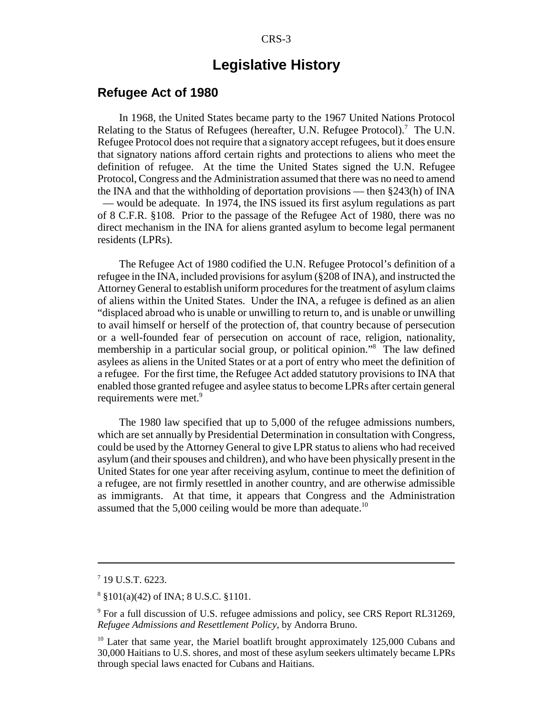# **Legislative History**

### **Refugee Act of 1980**

In 1968, the United States became party to the 1967 United Nations Protocol Relating to the Status of Refugees (hereafter, U.N. Refugee Protocol).<sup>7</sup> The U.N. Refugee Protocol does not require that a signatory accept refugees, but it does ensure that signatory nations afford certain rights and protections to aliens who meet the definition of refugee. At the time the United States signed the U.N. Refugee Protocol, Congress and the Administration assumed that there was no need to amend the INA and that the withholding of deportation provisions — then §243(h) of INA — would be adequate. In 1974, the INS issued its first asylum regulations as part of 8 C.F.R. §108. Prior to the passage of the Refugee Act of 1980, there was no direct mechanism in the INA for aliens granted asylum to become legal permanent residents (LPRs).

The Refugee Act of 1980 codified the U.N. Refugee Protocol's definition of a refugee in the INA, included provisions for asylum (§208 of INA), and instructed the Attorney General to establish uniform procedures for the treatment of asylum claims of aliens within the United States. Under the INA, a refugee is defined as an alien "displaced abroad who is unable or unwilling to return to, and is unable or unwilling to avail himself or herself of the protection of, that country because of persecution or a well-founded fear of persecution on account of race, religion, nationality, membership in a particular social group, or political opinion."8 The law defined asylees as aliens in the United States or at a port of entry who meet the definition of a refugee. For the first time, the Refugee Act added statutory provisions to INA that enabled those granted refugee and asylee status to become LPRs after certain general requirements were met.<sup>9</sup>

The 1980 law specified that up to 5,000 of the refugee admissions numbers, which are set annually by Presidential Determination in consultation with Congress, could be used by the Attorney General to give LPR status to aliens who had received asylum (and their spouses and children), and who have been physically present in the United States for one year after receiving asylum, continue to meet the definition of a refugee, are not firmly resettled in another country, and are otherwise admissible as immigrants. At that time, it appears that Congress and the Administration assumed that the 5,000 ceiling would be more than adequate.<sup>10</sup>

<sup>7</sup> 19 U.S.T. 6223.

<sup>8</sup> §101(a)(42) of INA; 8 U.S.C. §1101.

<sup>&</sup>lt;sup>9</sup> For a full discussion of U.S. refugee admissions and policy, see CRS Report RL31269, *Refugee Admissions and Resettlement Policy*, by Andorra Bruno.

<sup>&</sup>lt;sup>10</sup> Later that same year, the Mariel boatlift brought approximately 125,000 Cubans and 30,000 Haitians to U.S. shores, and most of these asylum seekers ultimately became LPRs through special laws enacted for Cubans and Haitians.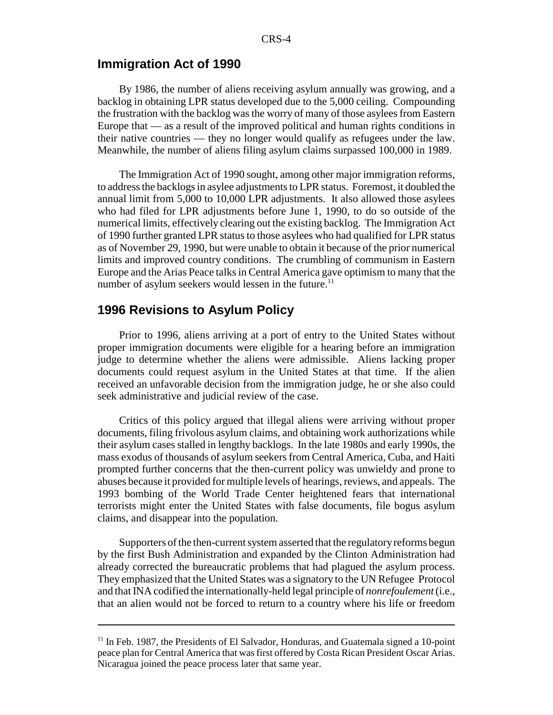#### **Immigration Act of 1990**

By 1986, the number of aliens receiving asylum annually was growing, and a backlog in obtaining LPR status developed due to the 5,000 ceiling. Compounding the frustration with the backlog was the worry of many of those asylees from Eastern Europe that — as a result of the improved political and human rights conditions in their native countries — they no longer would qualify as refugees under the law. Meanwhile, the number of aliens filing asylum claims surpassed 100,000 in 1989.

The Immigration Act of 1990 sought, among other major immigration reforms, to address the backlogs in asylee adjustments to LPR status. Foremost, it doubled the annual limit from 5,000 to 10,000 LPR adjustments. It also allowed those asylees who had filed for LPR adjustments before June 1, 1990, to do so outside of the numerical limits, effectively clearing out the existing backlog. The Immigration Act of 1990 further granted LPR status to those asylees who had qualified for LPR status as of November 29, 1990, but were unable to obtain it because of the prior numerical limits and improved country conditions. The crumbling of communism in Eastern Europe and the Arias Peace talks in Central America gave optimism to many that the number of asylum seekers would lessen in the future.<sup>11</sup>

## **1996 Revisions to Asylum Policy**

Prior to 1996, aliens arriving at a port of entry to the United States without proper immigration documents were eligible for a hearing before an immigration judge to determine whether the aliens were admissible. Aliens lacking proper documents could request asylum in the United States at that time. If the alien received an unfavorable decision from the immigration judge, he or she also could seek administrative and judicial review of the case.

Critics of this policy argued that illegal aliens were arriving without proper documents, filing frivolous asylum claims, and obtaining work authorizations while their asylum cases stalled in lengthy backlogs. In the late 1980s and early 1990s, the mass exodus of thousands of asylum seekers from Central America, Cuba, and Haiti prompted further concerns that the then-current policy was unwieldy and prone to abuses because it provided for multiple levels of hearings, reviews, and appeals. The 1993 bombing of the World Trade Center heightened fears that international terrorists might enter the United States with false documents, file bogus asylum claims, and disappear into the population.

Supporters of the then-current system asserted that the regulatory reforms begun by the first Bush Administration and expanded by the Clinton Administration had already corrected the bureaucratic problems that had plagued the asylum process. They emphasized that the United States was a signatory to the UN Refugee Protocol and that INA codified the internationally-held legal principle of *nonrefoulement* (i.e., that an alien would not be forced to return to a country where his life or freedom

<sup>&</sup>lt;sup>11</sup> In Feb. 1987, the Presidents of El Salvador, Honduras, and Guatemala signed a 10-point peace plan for Central America that was first offered by Costa Rican President Oscar Arias. Nicaragua joined the peace process later that same year.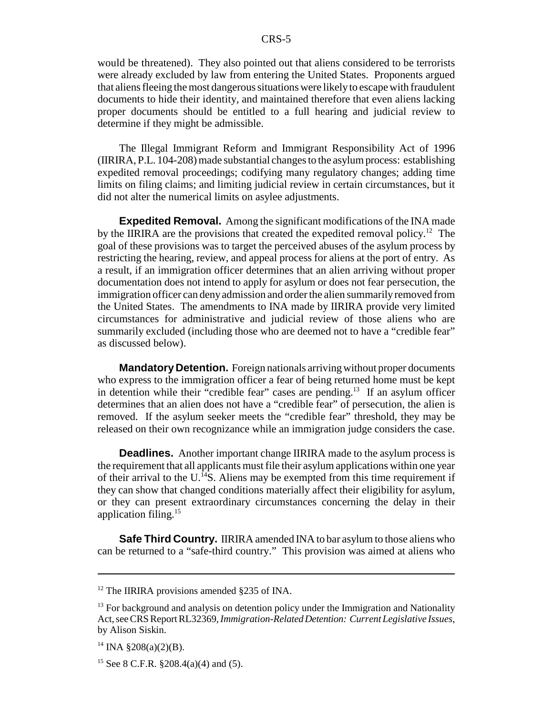would be threatened). They also pointed out that aliens considered to be terrorists were already excluded by law from entering the United States. Proponents argued that aliens fleeing the most dangerous situations were likely to escape with fraudulent documents to hide their identity, and maintained therefore that even aliens lacking proper documents should be entitled to a full hearing and judicial review to determine if they might be admissible.

The Illegal Immigrant Reform and Immigrant Responsibility Act of 1996 (IIRIRA, P.L. 104-208) made substantial changes to the asylum process: establishing expedited removal proceedings; codifying many regulatory changes; adding time limits on filing claims; and limiting judicial review in certain circumstances, but it did not alter the numerical limits on asylee adjustments.

**Expedited Removal.** Among the significant modifications of the INA made by the IIRIRA are the provisions that created the expedited removal policy.<sup>12</sup> The goal of these provisions was to target the perceived abuses of the asylum process by restricting the hearing, review, and appeal process for aliens at the port of entry. As a result, if an immigration officer determines that an alien arriving without proper documentation does not intend to apply for asylum or does not fear persecution, the immigration officer can deny admission and order the alien summarily removed from the United States. The amendments to INA made by IIRIRA provide very limited circumstances for administrative and judicial review of those aliens who are summarily excluded (including those who are deemed not to have a "credible fear" as discussed below).

**Mandatory Detention.** Foreign nationals arriving without proper documents who express to the immigration officer a fear of being returned home must be kept in detention while their "credible fear" cases are pending.<sup>13</sup> If an asylum officer determines that an alien does not have a "credible fear" of persecution, the alien is removed. If the asylum seeker meets the "credible fear" threshold, they may be released on their own recognizance while an immigration judge considers the case.

**Deadlines.** Another important change IIRIRA made to the asylum process is the requirement that all applicants must file their asylum applications within one year of their arrival to the U.<sup>14</sup>S. Aliens may be exempted from this time requirement if they can show that changed conditions materially affect their eligibility for asylum, or they can present extraordinary circumstances concerning the delay in their application filing.15

**Safe Third Country.** IIRIRA amended INA to bar asylum to those aliens who can be returned to a "safe-third country." This provision was aimed at aliens who

<sup>&</sup>lt;sup>12</sup> The IIRIRA provisions amended §235 of INA.

<sup>&</sup>lt;sup>13</sup> For background and analysis on detention policy under the Immigration and Nationality Act, see CRS Report RL32369, *Immigration-Related Detention: Current Legislative Issues*, by Alison Siskin.

 $^{14}$  INA  $$208(a)(2)(B)$ .

<sup>&</sup>lt;sup>15</sup> See 8 C.F.R. §208.4(a)(4) and (5).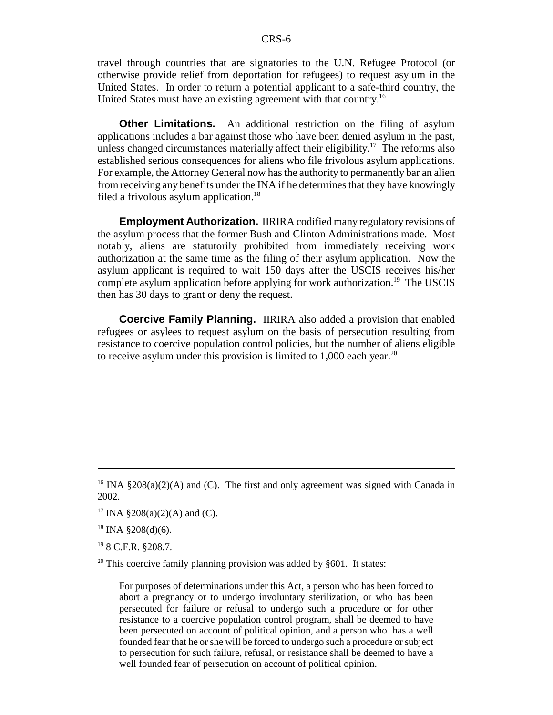travel through countries that are signatories to the U.N. Refugee Protocol (or otherwise provide relief from deportation for refugees) to request asylum in the United States. In order to return a potential applicant to a safe-third country, the United States must have an existing agreement with that country.16

**Other Limitations.** An additional restriction on the filing of asylum applications includes a bar against those who have been denied asylum in the past, unless changed circumstances materially affect their eligibility.<sup>17</sup> The reforms also established serious consequences for aliens who file frivolous asylum applications. For example, the Attorney General now has the authority to permanently bar an alien from receiving any benefits under the INA if he determines that they have knowingly filed a frivolous asylum application.<sup>18</sup>

**Employment Authorization.** IIRIRA codified many regulatory revisions of the asylum process that the former Bush and Clinton Administrations made. Most notably, aliens are statutorily prohibited from immediately receiving work authorization at the same time as the filing of their asylum application. Now the asylum applicant is required to wait 150 days after the USCIS receives his/her complete asylum application before applying for work authorization.<sup>19</sup> The USCIS then has 30 days to grant or deny the request.

**Coercive Family Planning.** IIRIRA also added a provision that enabled refugees or asylees to request asylum on the basis of persecution resulting from resistance to coercive population control policies, but the number of aliens eligible to receive asylum under this provision is limited to  $1,000$  each year.<sup>20</sup>

19 8 C.F.R. §208.7.

<sup>20</sup> This coercive family planning provision was added by  $§601$ . It states:

For purposes of determinations under this Act, a person who has been forced to abort a pregnancy or to undergo involuntary sterilization, or who has been persecuted for failure or refusal to undergo such a procedure or for other resistance to a coercive population control program, shall be deemed to have been persecuted on account of political opinion, and a person who has a well founded fear that he or she will be forced to undergo such a procedure or subject to persecution for such failure, refusal, or resistance shall be deemed to have a well founded fear of persecution on account of political opinion.

<sup>&</sup>lt;sup>16</sup> INA §208(a)(2)(A) and (C). The first and only agreement was signed with Canada in 2002.

<sup>&</sup>lt;sup>17</sup> INA §208(a)(2)(A) and (C).

 $18$  INA §208(d)(6).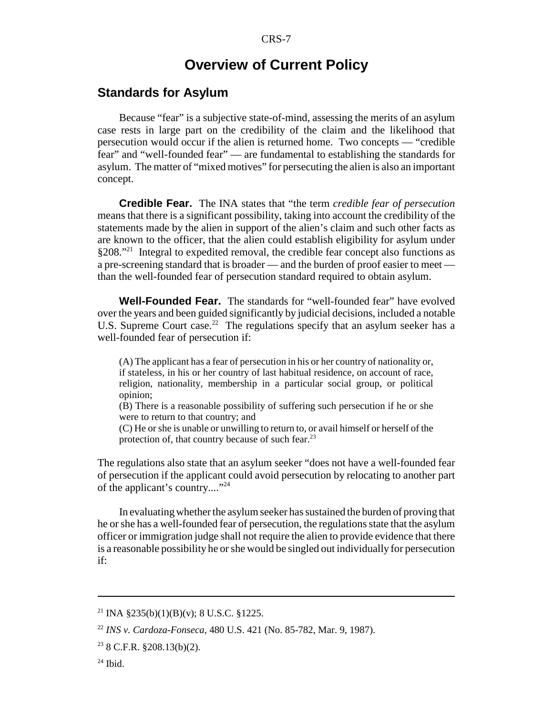## **Overview of Current Policy**

## **Standards for Asylum**

Because "fear" is a subjective state-of-mind, assessing the merits of an asylum case rests in large part on the credibility of the claim and the likelihood that persecution would occur if the alien is returned home. Two concepts — "credible fear" and "well-founded fear" — are fundamental to establishing the standards for asylum. The matter of "mixed motives" for persecuting the alien is also an important concept.

**Credible Fear.** The INA states that "the term *credible fear of persecution* means that there is a significant possibility, taking into account the credibility of the statements made by the alien in support of the alien's claim and such other facts as are known to the officer, that the alien could establish eligibility for asylum under §208."21 Integral to expedited removal, the credible fear concept also functions as a pre-screening standard that is broader — and the burden of proof easier to meet than the well-founded fear of persecution standard required to obtain asylum.

**Well-Founded Fear.** The standards for "well-founded fear" have evolved over the years and been guided significantly by judicial decisions, included a notable U.S. Supreme Court case.<sup>22</sup> The regulations specify that an asylum seeker has a well-founded fear of persecution if:

(A) The applicant has a fear of persecution in his or her country of nationality or, if stateless, in his or her country of last habitual residence, on account of race, religion, nationality, membership in a particular social group, or political opinion;

(B) There is a reasonable possibility of suffering such persecution if he or she were to return to that country; and

(C) He or she is unable or unwilling to return to, or avail himself or herself of the protection of, that country because of such fear. $^{23}$ 

The regulations also state that an asylum seeker "does not have a well-founded fear of persecution if the applicant could avoid persecution by relocating to another part of the applicant's country...."24

In evaluating whether the asylum seeker has sustained the burden of proving that he or she has a well-founded fear of persecution, the regulations state that the asylum officer or immigration judge shall not require the alien to provide evidence that there is a reasonable possibility he or she would be singled out individually for persecution if:

 $^{24}$  Ibid.

<sup>&</sup>lt;sup>21</sup> INA §235(b)(1)(B)(y); 8 U.S.C. §1225.

<sup>22</sup> *INS v. Cardoza-Fonseca*, 480 U.S. 421 (No. 85-782, Mar. 9, 1987).

 $23$  8 C.F.R. §208.13(b)(2).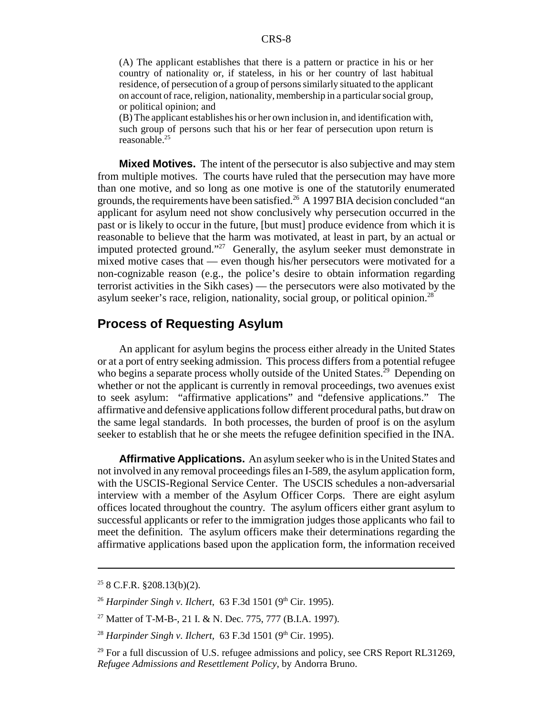(A) The applicant establishes that there is a pattern or practice in his or her country of nationality or, if stateless, in his or her country of last habitual residence, of persecution of a group of persons similarly situated to the applicant on account of race, religion, nationality, membership in a particular social group, or political opinion; and

(B) The applicant establishes his or her own inclusion in, and identification with, such group of persons such that his or her fear of persecution upon return is reasonable.<sup>25</sup>

**Mixed Motives.** The intent of the persecutor is also subjective and may stem from multiple motives. The courts have ruled that the persecution may have more than one motive, and so long as one motive is one of the statutorily enumerated grounds, the requirements have been satisfied.<sup>26</sup> A 1997 BIA decision concluded "an applicant for asylum need not show conclusively why persecution occurred in the past or is likely to occur in the future, [but must] produce evidence from which it is reasonable to believe that the harm was motivated, at least in part, by an actual or imputed protected ground."<sup>27</sup> Generally, the asylum seeker must demonstrate in mixed motive cases that — even though his/her persecutors were motivated for a non-cognizable reason (e.g., the police's desire to obtain information regarding terrorist activities in the Sikh cases) — the persecutors were also motivated by the asylum seeker's race, religion, nationality, social group, or political opinion.<sup>28</sup>

## **Process of Requesting Asylum**

An applicant for asylum begins the process either already in the United States or at a port of entry seeking admission. This process differs from a potential refugee who begins a separate process wholly outside of the United States.<sup>29</sup> Depending on whether or not the applicant is currently in removal proceedings, two avenues exist to seek asylum: "affirmative applications" and "defensive applications." The affirmative and defensive applications follow different procedural paths, but draw on the same legal standards. In both processes, the burden of proof is on the asylum seeker to establish that he or she meets the refugee definition specified in the INA.

**Affirmative Applications.** An asylum seeker who is in the United States and not involved in any removal proceedings files an I-589, the asylum application form, with the USCIS-Regional Service Center. The USCIS schedules a non-adversarial interview with a member of the Asylum Officer Corps. There are eight asylum offices located throughout the country. The asylum officers either grant asylum to successful applicants or refer to the immigration judges those applicants who fail to meet the definition. The asylum officers make their determinations regarding the affirmative applications based upon the application form, the information received

 $25$  8 C.F.R. §208.13(b)(2).

<sup>&</sup>lt;sup>26</sup> *Harpinder Singh v. Ilchert*, 63 F.3d 1501 (9<sup>th</sup> Cir. 1995).

<sup>27</sup> Matter of T-M-B-, 21 I. & N. Dec. 775, 777 (B.I.A. 1997).

<sup>&</sup>lt;sup>28</sup> *Harpinder Singh v. Ilchert*, 63 F.3d 1501 (9<sup>th</sup> Cir. 1995).

 $^{29}$  For a full discussion of U.S. refugee admissions and policy, see CRS Report RL31269. *Refugee Admissions and Resettlement Policy*, by Andorra Bruno.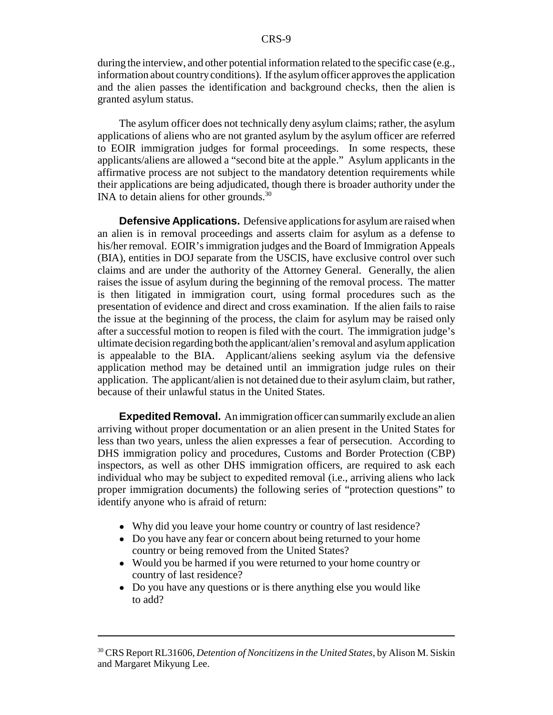during the interview, and other potential information related to the specific case (e.g., information about country conditions). If the asylum officer approves the application and the alien passes the identification and background checks, then the alien is granted asylum status.

The asylum officer does not technically deny asylum claims; rather, the asylum applications of aliens who are not granted asylum by the asylum officer are referred to EOIR immigration judges for formal proceedings. In some respects, these applicants/aliens are allowed a "second bite at the apple." Asylum applicants in the affirmative process are not subject to the mandatory detention requirements while their applications are being adjudicated, though there is broader authority under the INA to detain aliens for other grounds.<sup>30</sup>

**Defensive Applications.** Defensive applications for asylum are raised when an alien is in removal proceedings and asserts claim for asylum as a defense to his/her removal. EOIR's immigration judges and the Board of Immigration Appeals (BIA), entities in DOJ separate from the USCIS, have exclusive control over such claims and are under the authority of the Attorney General. Generally, the alien raises the issue of asylum during the beginning of the removal process. The matter is then litigated in immigration court, using formal procedures such as the presentation of evidence and direct and cross examination. If the alien fails to raise the issue at the beginning of the process, the claim for asylum may be raised only after a successful motion to reopen is filed with the court. The immigration judge's ultimate decision regarding both the applicant/alien's removal and asylum application is appealable to the BIA. Applicant/aliens seeking asylum via the defensive application method may be detained until an immigration judge rules on their application. The applicant/alien is not detained due to their asylum claim, but rather, because of their unlawful status in the United States.

**Expedited Removal.** An immigration officer can summarily exclude an alien arriving without proper documentation or an alien present in the United States for less than two years, unless the alien expresses a fear of persecution. According to DHS immigration policy and procedures, Customs and Border Protection (CBP) inspectors, as well as other DHS immigration officers, are required to ask each individual who may be subject to expedited removal (i.e., arriving aliens who lack proper immigration documents) the following series of "protection questions" to identify anyone who is afraid of return:

- Why did you leave your home country or country of last residence?
- Do you have any fear or concern about being returned to your home country or being removed from the United States?
- Would you be harmed if you were returned to your home country or country of last residence?
- Do you have any questions or is there anything else you would like to add?

<sup>30</sup> CRS Report RL31606, *Detention of Noncitizens in the United States*, by Alison M. Siskin and Margaret Mikyung Lee.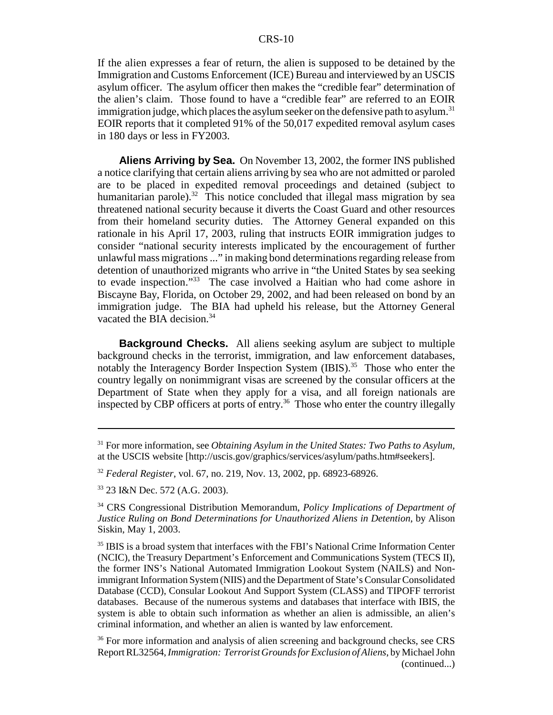If the alien expresses a fear of return, the alien is supposed to be detained by the Immigration and Customs Enforcement (ICE) Bureau and interviewed by an USCIS asylum officer. The asylum officer then makes the "credible fear" determination of the alien's claim. Those found to have a "credible fear" are referred to an EOIR immigration judge, which places the asylum seeker on the defensive path to asylum.<sup>31</sup> EOIR reports that it completed 91% of the 50,017 expedited removal asylum cases in 180 days or less in FY2003.

**Aliens Arriving by Sea.** On November 13, 2002, the former INS published a notice clarifying that certain aliens arriving by sea who are not admitted or paroled are to be placed in expedited removal proceedings and detained (subject to humanitarian parole).<sup>32</sup> This notice concluded that illegal mass migration by sea threatened national security because it diverts the Coast Guard and other resources from their homeland security duties. The Attorney General expanded on this rationale in his April 17, 2003, ruling that instructs EOIR immigration judges to consider "national security interests implicated by the encouragement of further unlawful mass migrations ..." in making bond determinations regarding release from detention of unauthorized migrants who arrive in "the United States by sea seeking to evade inspection."33 The case involved a Haitian who had come ashore in Biscayne Bay, Florida, on October 29, 2002, and had been released on bond by an immigration judge. The BIA had upheld his release, but the Attorney General vacated the BIA decision.<sup>34</sup>

**Background Checks.** All aliens seeking asylum are subject to multiple background checks in the terrorist, immigration, and law enforcement databases, notably the Interagency Border Inspection System (IBIS).<sup>35</sup> Those who enter the country legally on nonimmigrant visas are screened by the consular officers at the Department of State when they apply for a visa, and all foreign nationals are inspected by CBP officers at ports of entry.<sup>36</sup> Those who enter the country illegally

<sup>31</sup> For more information, see *Obtaining Asylum in the United States: Two Paths to Asylum,* at the USCIS website [http://uscis.gov/graphics/services/asylum/paths.htm#seekers].

<sup>32</sup> *Federal Register*, vol. 67, no. 219, Nov. 13, 2002, pp. 68923-68926.

<sup>33 23</sup> I&N Dec. 572 (A.G. 2003).

<sup>34</sup> CRS Congressional Distribution Memorandum, *Policy Implications of Department of Justice Ruling on Bond Determinations for Unauthorized Aliens in Detention*, by Alison Siskin, May 1, 2003.

<sup>&</sup>lt;sup>35</sup> IBIS is a broad system that interfaces with the FBI's National Crime Information Center (NCIC), the Treasury Department's Enforcement and Communications System (TECS II), the former INS's National Automated Immigration Lookout System (NAILS) and Nonimmigrant Information System (NIIS) and the Department of State's Consular Consolidated Database (CCD), Consular Lookout And Support System (CLASS) and TIPOFF terrorist databases. Because of the numerous systems and databases that interface with IBIS, the system is able to obtain such information as whether an alien is admissible, an alien's criminal information, and whether an alien is wanted by law enforcement.

<sup>&</sup>lt;sup>36</sup> For more information and analysis of alien screening and background checks, see CRS Report RL32564, *Immigration: Terrorist Grounds for Exclusion of Aliens*, by Michael John (continued...)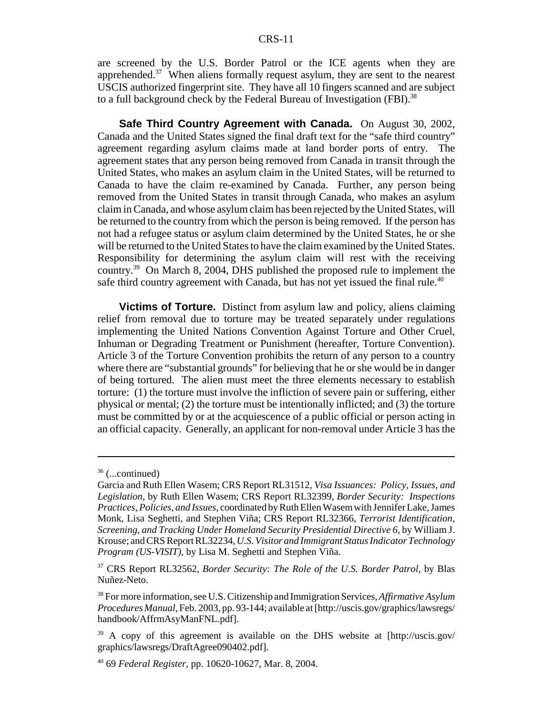are screened by the U.S. Border Patrol or the ICE agents when they are apprehended.<sup>37</sup> When aliens formally request asylum, they are sent to the nearest USCIS authorized fingerprint site. They have all 10 fingers scanned and are subject to a full background check by the Federal Bureau of Investigation (FBI).<sup>38</sup>

**Safe Third Country Agreement with Canada.** On August 30, 2002, Canada and the United States signed the final draft text for the "safe third country" agreement regarding asylum claims made at land border ports of entry. The agreement states that any person being removed from Canada in transit through the United States, who makes an asylum claim in the United States, will be returned to Canada to have the claim re-examined by Canada. Further, any person being removed from the United States in transit through Canada, who makes an asylum claim in Canada, and whose asylum claim has been rejected by the United States, will be returned to the country from which the person is being removed. If the person has not had a refugee status or asylum claim determined by the United States, he or she will be returned to the United States to have the claim examined by the United States. Responsibility for determining the asylum claim will rest with the receiving country.39 On March 8, 2004, DHS published the proposed rule to implement the safe third country agreement with Canada, but has not yet issued the final rule.<sup>40</sup>

**Victims of Torture.** Distinct from asylum law and policy, aliens claiming relief from removal due to torture may be treated separately under regulations implementing the United Nations Convention Against Torture and Other Cruel, Inhuman or Degrading Treatment or Punishment (hereafter, Torture Convention). Article 3 of the Torture Convention prohibits the return of any person to a country where there are "substantial grounds" for believing that he or she would be in danger of being tortured. The alien must meet the three elements necessary to establish torture: (1) the torture must involve the infliction of severe pain or suffering, either physical or mental; (2) the torture must be intentionally inflicted; and (3) the torture must be committed by or at the acquiescence of a public official or person acting in an official capacity. Generally, an applicant for non-removal under Article 3 has the

 $36$  (...continued)

Garcia and Ruth Ellen Wasem; CRS Report RL31512, *Visa Issuances: Policy, Issues, and Legislation*, by Ruth Ellen Wasem; CRS Report RL32399, *Border Security: Inspections Practices, Policies, and Issues*, coordinated by Ruth Ellen Wasem with Jennifer Lake, James Monk, Lisa Seghetti, and Stephen Viña; CRS Report RL32366, *Terrorist Identification, Screening, and Tracking Under Homeland Security Presidential Directive 6*, by William J. Krouse; and CRS Report RL32234, *U.S. Visitor and Immigrant Status Indicator Technology Program (US-VISIT)*, by Lisa M. Seghetti and Stephen Viña.

<sup>37</sup> CRS Report RL32562, *Border Security: The Role of the U.S. Border Patrol*, by Blas Nuñez-Neto.

<sup>38</sup> For more information, see U.S. Citizenship and Immigration Services, *Affirmative Asylum Procedures Manual*, Feb. 2003, pp. 93-144; available at [http://uscis.gov/graphics/lawsregs/ handbook/AffrmAsyManFNL.pdf].

<sup>&</sup>lt;sup>39</sup> A copy of this agreement is available on the DHS website at [http://uscis.gov/ graphics/lawsregs/DraftAgree090402.pdf].

<sup>40 69</sup> *Federal Register*, pp. 10620-10627, Mar. 8, 2004.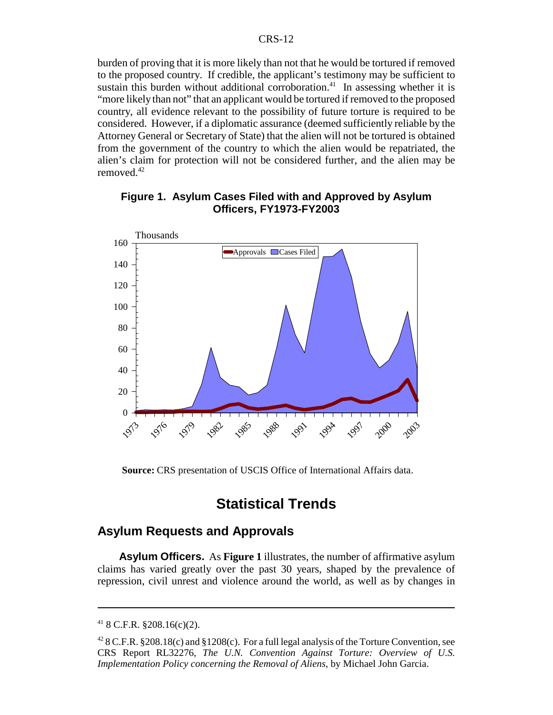burden of proving that it is more likely than not that he would be tortured if removed to the proposed country. If credible, the applicant's testimony may be sufficient to sustain this burden without additional corroboration.<sup>41</sup> In assessing whether it is "more likely than not" that an applicant would be tortured if removed to the proposed country, all evidence relevant to the possibility of future torture is required to be considered. However, if a diplomatic assurance (deemed sufficiently reliable by the Attorney General or Secretary of State) that the alien will not be tortured is obtained from the government of the country to which the alien would be repatriated, the alien's claim for protection will not be considered further, and the alien may be removed.42



### **Figure 1. Asylum Cases Filed with and Approved by Asylum Officers, FY1973-FY2003**

**Source:** CRS presentation of USCIS Office of International Affairs data.

# **Statistical Trends**

## **Asylum Requests and Approvals**

**Asylum Officers.** As **Figure 1** illustrates, the number of affirmative asylum claims has varied greatly over the past 30 years, shaped by the prevalence of repression, civil unrest and violence around the world, as well as by changes in

 $418$  C.F.R. §208.16(c)(2).

<sup>&</sup>lt;sup>42</sup> 8 C.F.R. §208.18(c) and §1208(c). For a full legal analysis of the Torture Convention, see CRS Report RL32276, *The U.N. Convention Against Torture: Overview of U.S. Implementation Policy concerning the Removal of Aliens*, by Michael John Garcia.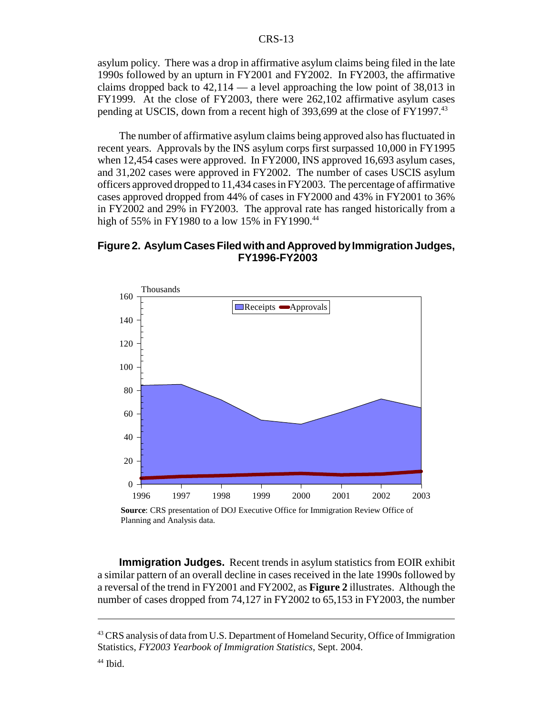asylum policy. There was a drop in affirmative asylum claims being filed in the late 1990s followed by an upturn in FY2001 and FY2002. In FY2003, the affirmative claims dropped back to  $42,114$  — a level approaching the low point of 38,013 in FY1999. At the close of FY2003, there were 262,102 affirmative asylum cases pending at USCIS, down from a recent high of 393,699 at the close of FY1997.<sup>43</sup>

The number of affirmative asylum claims being approved also has fluctuated in recent years. Approvals by the INS asylum corps first surpassed 10,000 in FY1995 when 12,454 cases were approved. In FY2000, INS approved 16,693 asylum cases, and 31,202 cases were approved in FY2002. The number of cases USCIS asylum officers approved dropped to 11,434 cases in FY2003. The percentage of affirmative cases approved dropped from 44% of cases in FY2000 and 43% in FY2001 to 36% in FY2002 and 29% in FY2003. The approval rate has ranged historically from a high of 55% in FY1980 to a low 15% in FY1990.<sup>44</sup>

#### **Figure 2. Asylum Cases Filed with and Approved by Immigration Judges, FY1996-FY2003**



**Source**: CRS presentation of DOJ Executive Office for Immigration Review Office of Planning and Analysis data.

**Immigration Judges.** Recent trends in asylum statistics from EOIR exhibit a similar pattern of an overall decline in cases received in the late 1990s followed by a reversal of the trend in FY2001 and FY2002, as **Figure 2** illustrates. Although the number of cases dropped from 74,127 in FY2002 to 65,153 in FY2003, the number

<sup>&</sup>lt;sup>43</sup> CRS analysis of data from U.S. Department of Homeland Security, Office of Immigration Statistics, *FY2003 Yearbook of Immigration Statistics*, Sept. 2004.

 $44$  Ibid.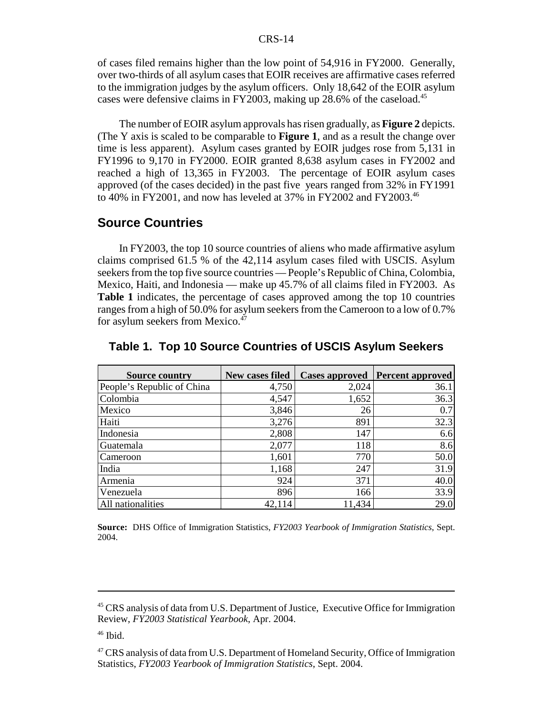of cases filed remains higher than the low point of 54,916 in FY2000. Generally, over two-thirds of all asylum cases that EOIR receives are affirmative cases referred to the immigration judges by the asylum officers. Only 18,642 of the EOIR asylum cases were defensive claims in FY2003, making up 28.6% of the caseload.<sup>45</sup>

The number of EOIR asylum approvals has risen gradually, as **Figure 2** depicts. (The Y axis is scaled to be comparable to **Figure 1**, and as a result the change over time is less apparent). Asylum cases granted by EOIR judges rose from 5,131 in FY1996 to 9,170 in FY2000. EOIR granted 8,638 asylum cases in FY2002 and reached a high of 13,365 in FY2003. The percentage of EOIR asylum cases approved (of the cases decided) in the past five years ranged from 32% in FY1991 to 40% in FY2001, and now has leveled at 37% in FY2002 and FY2003.<sup>46</sup>

### **Source Countries**

In FY2003, the top 10 source countries of aliens who made affirmative asylum claims comprised 61.5 % of the 42,114 asylum cases filed with USCIS. Asylum seekers from the top five source countries — People's Republic of China, Colombia, Mexico, Haiti, and Indonesia — make up 45.7% of all claims filed in FY2003. As **Table 1** indicates, the percentage of cases approved among the top 10 countries ranges from a high of 50.0% for asylum seekers from the Cameroon to a low of 0.7% for asylum seekers from Mexico.<sup>47</sup>

| <b>Source country</b>      | New cases filed |        | Cases approved   Percent approved |
|----------------------------|-----------------|--------|-----------------------------------|
| People's Republic of China | 4,750           | 2,024  | 36.1                              |
| Colombia                   | 4,547           | 1,652  | 36.3                              |
| Mexico                     | 3,846           | 26     | 0.7                               |
| Haiti                      | 3,276           | 891    | 32.3                              |
| Indonesia                  | 2,808           | 147    | 6.6                               |
| Guatemala                  | 2,077           | 118    | 8.6                               |
| Cameroon                   | 1,601           | 770    | 50.0                              |
| India                      | 1,168           | 247    | 31.9                              |
| Armenia                    | 924             | 371    | 40.0                              |
| Venezuela                  | 896             | 166    | 33.9                              |
| All nationalities          | 42,114          | 11,434 | 29.0                              |

**Table 1. Top 10 Source Countries of USCIS Asylum Seekers**

**Source:** DHS Office of Immigration Statistics, *FY2003 Yearbook of Immigration Statistics*, Sept. 2004.

<sup>&</sup>lt;sup>45</sup> CRS analysis of data from U.S. Department of Justice, Executive Office for Immigration Review, *FY2003 Statistical Yearbook*, Apr. 2004.

 $46$  Ibid.

<sup>&</sup>lt;sup>47</sup> CRS analysis of data from U.S. Department of Homeland Security, Office of Immigration Statistics, *FY2003 Yearbook of Immigration Statistics*, Sept. 2004.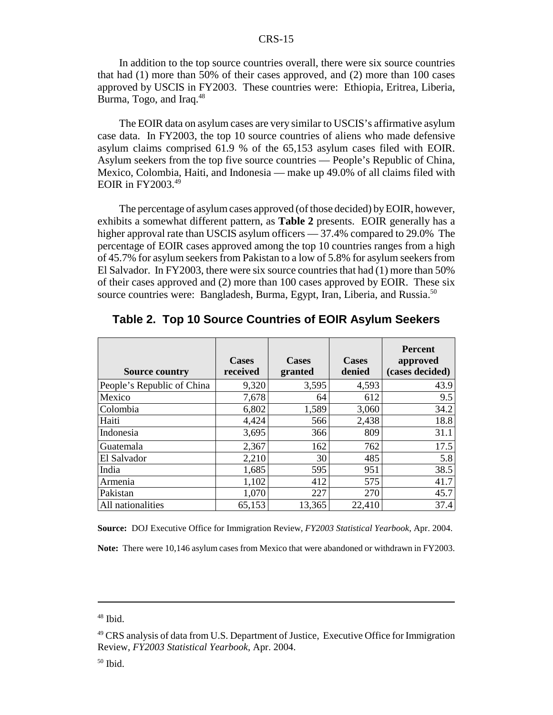In addition to the top source countries overall, there were six source countries that had (1) more than 50% of their cases approved, and (2) more than 100 cases approved by USCIS in FY2003. These countries were: Ethiopia, Eritrea, Liberia, Burma, Togo, and Iraq.<sup>48</sup>

The EOIR data on asylum cases are very similar to USCIS's affirmative asylum case data. In FY2003, the top 10 source countries of aliens who made defensive asylum claims comprised 61.9 % of the 65,153 asylum cases filed with EOIR. Asylum seekers from the top five source countries — People's Republic of China, Mexico, Colombia, Haiti, and Indonesia — make up 49.0% of all claims filed with EOIR in  $FY2003.<sup>49</sup>$ 

The percentage of asylum cases approved (of those decided) by EOIR, however, exhibits a somewhat different pattern, as **Table 2** presents. EOIR generally has a higher approval rate than USCIS asylum officers — 37.4% compared to 29.0% The percentage of EOIR cases approved among the top 10 countries ranges from a high of 45.7% for asylum seekers from Pakistan to a low of 5.8% for asylum seekers from El Salvador. In FY2003, there were six source countries that had (1) more than 50% of their cases approved and (2) more than 100 cases approved by EOIR. These six source countries were: Bangladesh, Burma, Egypt, Iran, Liberia, and Russia.<sup>50</sup>

| <b>Source country</b>      | <b>Cases</b><br>received | <b>Cases</b><br>granted | <b>Cases</b><br>denied | <b>Percent</b><br>approved<br>(cases decided) |
|----------------------------|--------------------------|-------------------------|------------------------|-----------------------------------------------|
| People's Republic of China | 9,320                    | 3,595                   | 4,593                  | 43.9                                          |
| Mexico                     | 7,678                    | 64                      | 612                    | 9.5                                           |
| Colombia                   | 6,802                    | 1,589                   | 3,060                  | 34.2                                          |
| Haiti                      | 4,424                    | 566                     | 2,438                  | 18.8                                          |
| Indonesia                  | 3,695                    | 366                     | 809                    | 31.1                                          |
| Guatemala                  | 2,367                    | 162                     | 762                    | 17.5                                          |
| El Salvador                | 2,210                    | 30                      | 485                    | 5.8                                           |
| India                      | 1,685                    | 595                     | 951                    | 38.5                                          |
| Armenia                    | 1,102                    | 412                     | 575                    | 41.7                                          |
| Pakistan                   | 1,070                    | 227                     | 270                    | 45.7                                          |
| All nationalities          | 65,153                   | 13,365                  | 22,410                 | 37.4                                          |

**Table 2. Top 10 Source Countries of EOIR Asylum Seekers**

**Source:** DOJ Executive Office for Immigration Review, *FY2003 Statistical Yearbook*, Apr. 2004.

**Note:** There were 10,146 asylum cases from Mexico that were abandoned or withdrawn in FY2003.

 $50$  Ibid.

 $48$  Ibid.

<sup>&</sup>lt;sup>49</sup> CRS analysis of data from U.S. Department of Justice, Executive Office for Immigration Review, *FY2003 Statistical Yearbook*, Apr. 2004.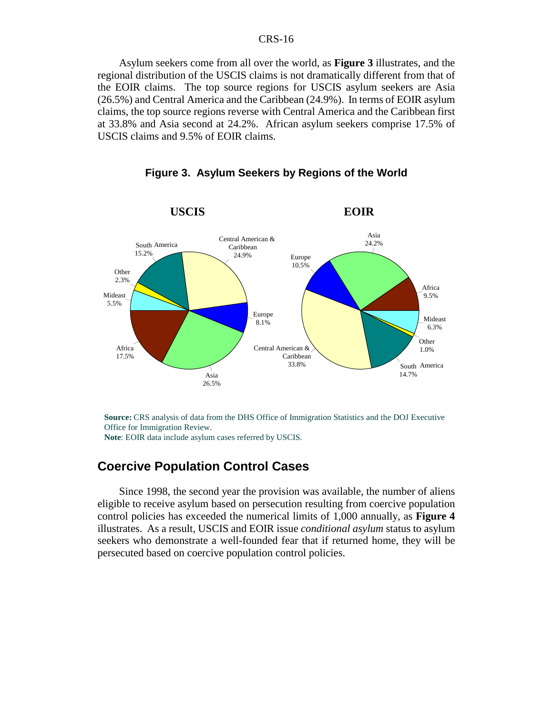Asylum seekers come from all over the world, as **Figure 3** illustrates, and the regional distribution of the USCIS claims is not dramatically different from that of the EOIR claims. The top source regions for USCIS asylum seekers are Asia (26.5%) and Central America and the Caribbean (24.9%). In terms of EOIR asylum claims, the top source regions reverse with Central America and the Caribbean first at 33.8% and Asia second at 24.2%. African asylum seekers comprise 17.5% of USCIS claims and 9.5% of EOIR claims.



**Figure 3. Asylum Seekers by Regions of the World**

**Source:** CRS analysis of data from the DHS Office of Immigration Statistics and the DOJ Executive Office for Immigration Review. **Note**: EOIR data include asylum cases referred by USCIS.

## **Coercive Population Control Cases**

Since 1998, the second year the provision was available, the number of aliens eligible to receive asylum based on persecution resulting from coercive population control policies has exceeded the numerical limits of 1,000 annually, as **Figure 4** illustrates. As a result, USCIS and EOIR issue *conditional asylum* status to asylum seekers who demonstrate a well-founded fear that if returned home, they will be persecuted based on coercive population control policies.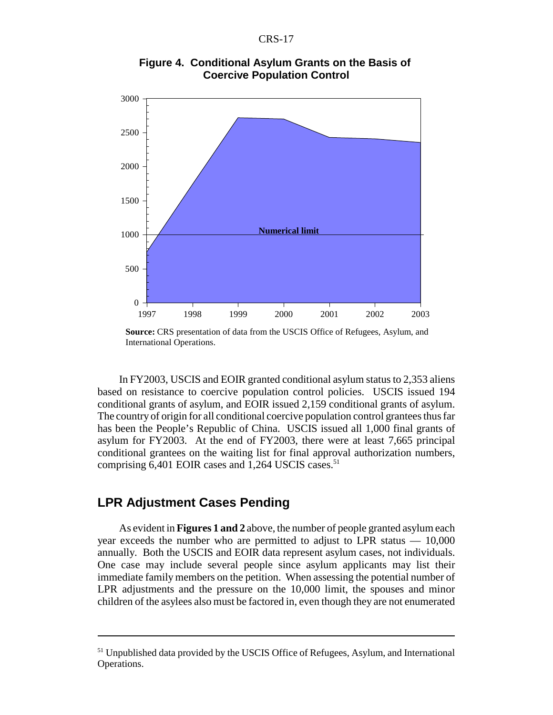

**Figure 4. Conditional Asylum Grants on the Basis of Coercive Population Control**

In FY2003, USCIS and EOIR granted conditional asylum status to 2,353 aliens based on resistance to coercive population control policies. USCIS issued 194 conditional grants of asylum, and EOIR issued 2,159 conditional grants of asylum. The country of origin for all conditional coercive population control grantees thus far has been the People's Republic of China. USCIS issued all 1,000 final grants of asylum for FY2003. At the end of FY2003, there were at least 7,665 principal conditional grantees on the waiting list for final approval authorization numbers, comprising  $6,401$  EOIR cases and 1,264 USCIS cases.<sup>51</sup>

## **LPR Adjustment Cases Pending**

As evident in **Figures 1 and 2** above, the number of people granted asylum each year exceeds the number who are permitted to adjust to LPR status — 10,000 annually. Both the USCIS and EOIR data represent asylum cases, not individuals. One case may include several people since asylum applicants may list their immediate family members on the petition. When assessing the potential number of LPR adjustments and the pressure on the 10,000 limit, the spouses and minor children of the asylees also must be factored in, even though they are not enumerated

**Source:** CRS presentation of data from the USCIS Office of Refugees, Asylum, and International Operations.

<sup>&</sup>lt;sup>51</sup> Unpublished data provided by the USCIS Office of Refugees, Asylum, and International Operations.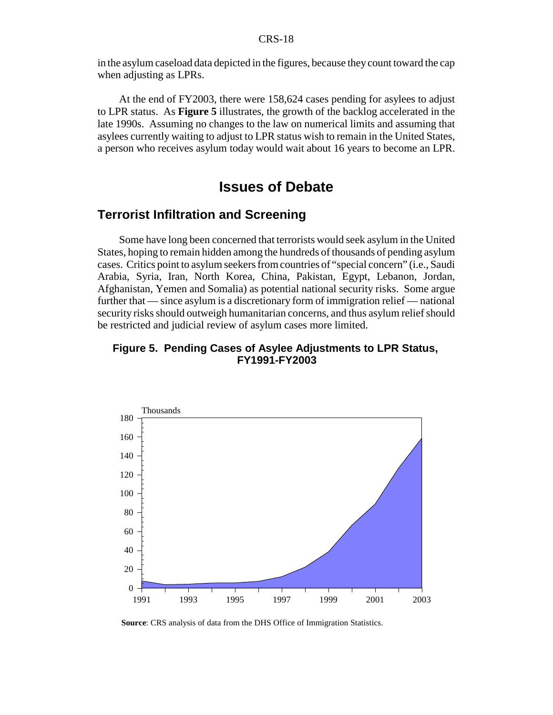in the asylum caseload data depicted in the figures, because they count toward the cap when adjusting as LPRs.

At the end of FY2003, there were 158,624 cases pending for asylees to adjust to LPR status. As **Figure 5** illustrates, the growth of the backlog accelerated in the late 1990s. Assuming no changes to the law on numerical limits and assuming that asylees currently waiting to adjust to LPR status wish to remain in the United States, a person who receives asylum today would wait about 16 years to become an LPR.

## **Issues of Debate**

## **Terrorist Infiltration and Screening**

Some have long been concerned that terrorists would seek asylum in the United States, hoping to remain hidden among the hundreds of thousands of pending asylum cases. Critics point to asylum seekers from countries of "special concern" (i.e., Saudi Arabia, Syria, Iran, North Korea, China, Pakistan, Egypt, Lebanon, Jordan, Afghanistan, Yemen and Somalia) as potential national security risks. Some argue further that — since asylum is a discretionary form of immigration relief — national security risks should outweigh humanitarian concerns, and thus asylum relief should be restricted and judicial review of asylum cases more limited.

#### **Figure 5. Pending Cases of Asylee Adjustments to LPR Status, FY1991-FY2003**



**Source**: CRS analysis of data from the DHS Office of Immigration Statistics.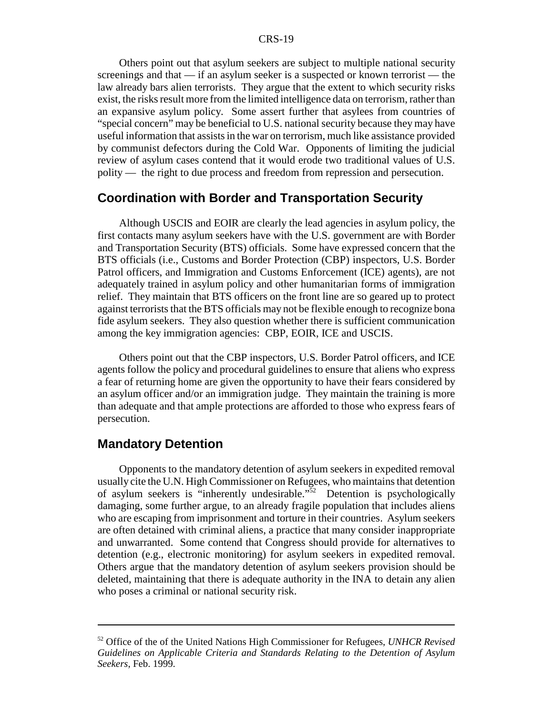Others point out that asylum seekers are subject to multiple national security screenings and that — if an asylum seeker is a suspected or known terrorist — the law already bars alien terrorists. They argue that the extent to which security risks exist, the risks result more from the limited intelligence data on terrorism, rather than an expansive asylum policy. Some assert further that asylees from countries of "special concern" may be beneficial to U.S. national security because they may have useful information that assists in the war on terrorism, much like assistance provided by communist defectors during the Cold War. Opponents of limiting the judicial review of asylum cases contend that it would erode two traditional values of U.S. polity — the right to due process and freedom from repression and persecution.

## **Coordination with Border and Transportation Security**

Although USCIS and EOIR are clearly the lead agencies in asylum policy, the first contacts many asylum seekers have with the U.S. government are with Border and Transportation Security (BTS) officials. Some have expressed concern that the BTS officials (i.e., Customs and Border Protection (CBP) inspectors, U.S. Border Patrol officers, and Immigration and Customs Enforcement (ICE) agents), are not adequately trained in asylum policy and other humanitarian forms of immigration relief. They maintain that BTS officers on the front line are so geared up to protect against terrorists that the BTS officials may not be flexible enough to recognize bona fide asylum seekers. They also question whether there is sufficient communication among the key immigration agencies: CBP, EOIR, ICE and USCIS.

Others point out that the CBP inspectors, U.S. Border Patrol officers, and ICE agents follow the policy and procedural guidelines to ensure that aliens who express a fear of returning home are given the opportunity to have their fears considered by an asylum officer and/or an immigration judge. They maintain the training is more than adequate and that ample protections are afforded to those who express fears of persecution.

## **Mandatory Detention**

Opponents to the mandatory detention of asylum seekers in expedited removal usually cite the U.N. High Commissioner on Refugees, who maintains that detention of asylum seekers is "inherently undesirable."52 Detention is psychologically damaging, some further argue, to an already fragile population that includes aliens who are escaping from imprisonment and torture in their countries. Asylum seekers are often detained with criminal aliens, a practice that many consider inappropriate and unwarranted. Some contend that Congress should provide for alternatives to detention (e.g., electronic monitoring) for asylum seekers in expedited removal. Others argue that the mandatory detention of asylum seekers provision should be deleted, maintaining that there is adequate authority in the INA to detain any alien who poses a criminal or national security risk.

<sup>52</sup> Office of the of the United Nations High Commissioner for Refugees, *UNHCR Revised Guidelines on Applicable Criteria and Standards Relating to the Detention of Asylum Seekers*, Feb. 1999.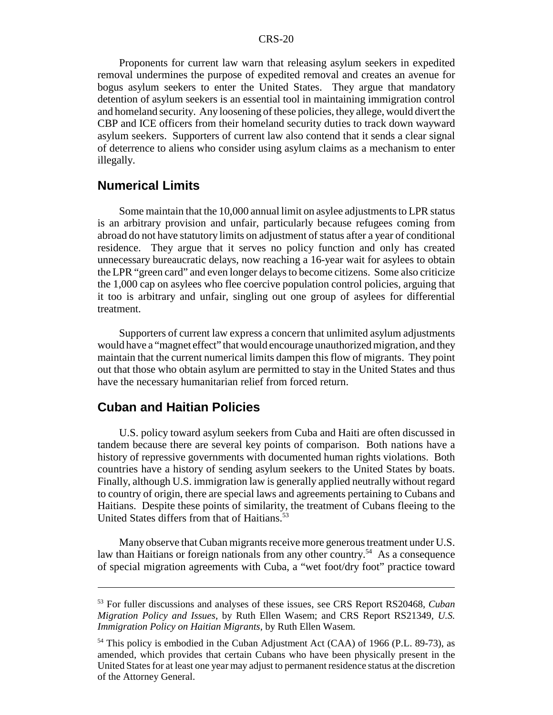Proponents for current law warn that releasing asylum seekers in expedited removal undermines the purpose of expedited removal and creates an avenue for bogus asylum seekers to enter the United States. They argue that mandatory detention of asylum seekers is an essential tool in maintaining immigration control and homeland security. Any loosening of these policies, they allege, would divert the CBP and ICE officers from their homeland security duties to track down wayward asylum seekers. Supporters of current law also contend that it sends a clear signal of deterrence to aliens who consider using asylum claims as a mechanism to enter illegally.

## **Numerical Limits**

Some maintain that the 10,000 annual limit on asylee adjustments to LPR status is an arbitrary provision and unfair, particularly because refugees coming from abroad do not have statutory limits on adjustment of status after a year of conditional residence. They argue that it serves no policy function and only has created unnecessary bureaucratic delays, now reaching a 16-year wait for asylees to obtain the LPR "green card" and even longer delays to become citizens. Some also criticize the 1,000 cap on asylees who flee coercive population control policies, arguing that it too is arbitrary and unfair, singling out one group of asylees for differential treatment.

Supporters of current law express a concern that unlimited asylum adjustments would have a "magnet effect" that would encourage unauthorized migration, and they maintain that the current numerical limits dampen this flow of migrants. They point out that those who obtain asylum are permitted to stay in the United States and thus have the necessary humanitarian relief from forced return.

## **Cuban and Haitian Policies**

U.S. policy toward asylum seekers from Cuba and Haiti are often discussed in tandem because there are several key points of comparison. Both nations have a history of repressive governments with documented human rights violations. Both countries have a history of sending asylum seekers to the United States by boats. Finally, although U.S. immigration law is generally applied neutrally without regard to country of origin, there are special laws and agreements pertaining to Cubans and Haitians. Despite these points of similarity, the treatment of Cubans fleeing to the United States differs from that of Haitians.<sup>53</sup>

Many observe that Cuban migrants receive more generous treatment under U.S. law than Haitians or foreign nationals from any other country.<sup>54</sup> As a consequence of special migration agreements with Cuba, a "wet foot/dry foot" practice toward

<sup>53</sup> For fuller discussions and analyses of these issues, see CRS Report RS20468, *Cuban Migration Policy and Issues*, by Ruth Ellen Wasem; and CRS Report RS21349, *U.S. Immigration Policy on Haitian Migrants*, by Ruth Ellen Wasem.

<sup>&</sup>lt;sup>54</sup> This policy is embodied in the Cuban Adjustment Act (CAA) of 1966 (P.L. 89-73), as amended, which provides that certain Cubans who have been physically present in the United States for at least one year may adjust to permanent residence status at the discretion of the Attorney General.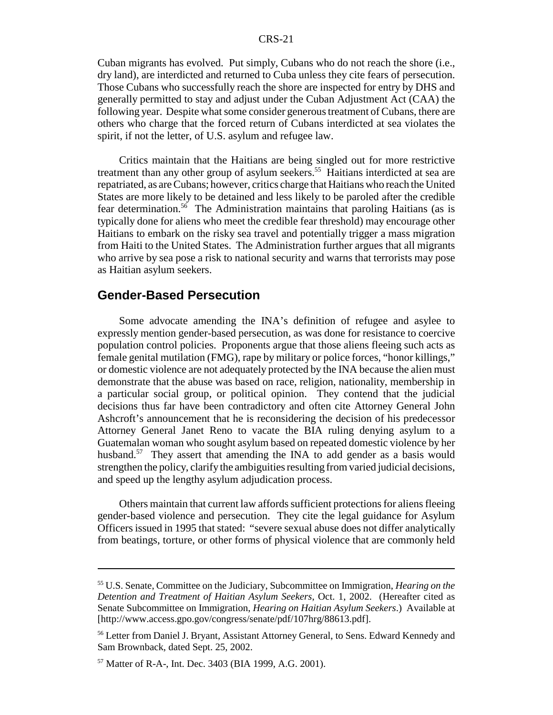Cuban migrants has evolved. Put simply, Cubans who do not reach the shore (i.e., dry land), are interdicted and returned to Cuba unless they cite fears of persecution. Those Cubans who successfully reach the shore are inspected for entry by DHS and generally permitted to stay and adjust under the Cuban Adjustment Act (CAA) the following year. Despite what some consider generous treatment of Cubans, there are others who charge that the forced return of Cubans interdicted at sea violates the spirit, if not the letter, of U.S. asylum and refugee law.

Critics maintain that the Haitians are being singled out for more restrictive treatment than any other group of asylum seekers.<sup>55</sup> Haitians interdicted at sea are repatriated, as are Cubans; however, critics charge that Haitians who reach the United States are more likely to be detained and less likely to be paroled after the credible fear determination.<sup>56</sup> The Administration maintains that paroling Haitians (as is typically done for aliens who meet the credible fear threshold) may encourage other Haitians to embark on the risky sea travel and potentially trigger a mass migration from Haiti to the United States. The Administration further argues that all migrants who arrive by sea pose a risk to national security and warns that terrorists may pose as Haitian asylum seekers.

### **Gender-Based Persecution**

Some advocate amending the INA's definition of refugee and asylee to expressly mention gender-based persecution, as was done for resistance to coercive population control policies. Proponents argue that those aliens fleeing such acts as female genital mutilation (FMG), rape by military or police forces, "honor killings," or domestic violence are not adequately protected by the INA because the alien must demonstrate that the abuse was based on race, religion, nationality, membership in a particular social group, or political opinion. They contend that the judicial decisions thus far have been contradictory and often cite Attorney General John Ashcroft's announcement that he is reconsidering the decision of his predecessor Attorney General Janet Reno to vacate the BIA ruling denying asylum to a Guatemalan woman who sought asylum based on repeated domestic violence by her husband.<sup>57</sup> They assert that amending the INA to add gender as a basis would strengthen the policy, clarify the ambiguities resulting from varied judicial decisions, and speed up the lengthy asylum adjudication process.

Others maintain that current law affords sufficient protections for aliens fleeing gender-based violence and persecution. They cite the legal guidance for Asylum Officers issued in 1995 that stated: "severe sexual abuse does not differ analytically from beatings, torture, or other forms of physical violence that are commonly held

<sup>55</sup> U.S. Senate, Committee on the Judiciary, Subcommittee on Immigration, *Hearing on the Detention and Treatment of Haitian Asylum Seekers*, Oct. 1, 2002. (Hereafter cited as Senate Subcommittee on Immigration, *Hearing on Haitian Asylum Seekers*.) Available at [http://www.access.gpo.gov/congress/senate/pdf/107hrg/88613.pdf].

<sup>56</sup> Letter from Daniel J. Bryant, Assistant Attorney General, to Sens. Edward Kennedy and Sam Brownback, dated Sept. 25, 2002.

<sup>57</sup> Matter of R-A-, Int. Dec. 3403 (BIA 1999, A.G. 2001).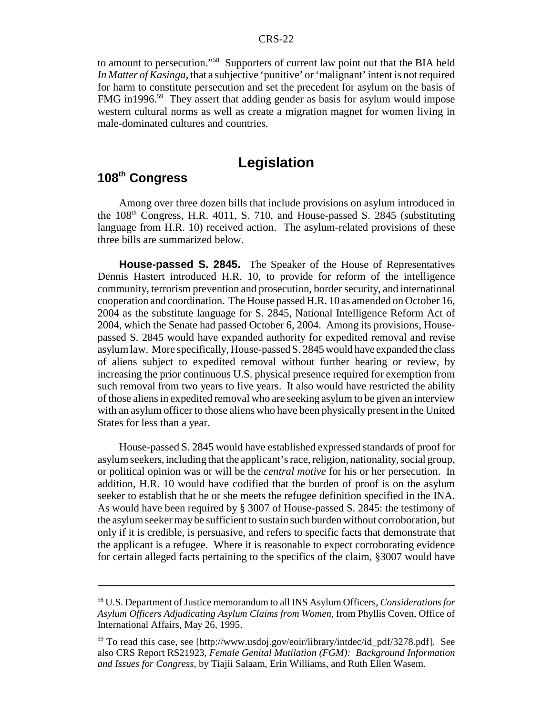to amount to persecution."58 Supporters of current law point out that the BIA held *In Matter of Kasinga*, that a subjective 'punitive' or 'malignant' intent is not required for harm to constitute persecution and set the precedent for asylum on the basis of FMG in1996.<sup>59</sup> They assert that adding gender as basis for asylum would impose western cultural norms as well as create a migration magnet for women living in male-dominated cultures and countries.

# **Legislation**

# **108th Congress**

Among over three dozen bills that include provisions on asylum introduced in the  $108<sup>th</sup>$  Congress, H.R. 4011, S. 710, and House-passed S. 2845 (substituting language from H.R. 10) received action. The asylum-related provisions of these three bills are summarized below.

**House-passed S. 2845.** The Speaker of the House of Representatives Dennis Hastert introduced H.R. 10, to provide for reform of the intelligence community, terrorism prevention and prosecution, border security, and international cooperation and coordination. The House passed H.R. 10 as amended on October 16, 2004 as the substitute language for S. 2845, National Intelligence Reform Act of 2004, which the Senate had passed October 6, 2004. Among its provisions, Housepassed S. 2845 would have expanded authority for expedited removal and revise asylum law. More specifically, House-passed S. 2845 would have expanded the class of aliens subject to expedited removal without further hearing or review, by increasing the prior continuous U.S. physical presence required for exemption from such removal from two years to five years. It also would have restricted the ability of those aliens in expedited removal who are seeking asylum to be given an interview with an asylum officer to those aliens who have been physically present in the United States for less than a year.

House-passed S. 2845 would have established expressed standards of proof for asylum seekers, including that the applicant's race, religion, nationality, social group, or political opinion was or will be the *central motive* for his or her persecution. In addition, H.R. 10 would have codified that the burden of proof is on the asylum seeker to establish that he or she meets the refugee definition specified in the INA. As would have been required by § 3007 of House-passed S. 2845: the testimony of the asylum seeker may be sufficient to sustain such burden without corroboration, but only if it is credible, is persuasive, and refers to specific facts that demonstrate that the applicant is a refugee. Where it is reasonable to expect corroborating evidence for certain alleged facts pertaining to the specifics of the claim, §3007 would have

<sup>58</sup> U.S. Department of Justice memorandum to all INS Asylum Officers, *Considerations for Asylum Officers Adjudicating Asylum Claims from Women,* from Phyllis Coven, Office of International Affairs, May 26, 1995.

<sup>59</sup> To read this case, see [http://www.usdoj.gov/eoir/library/intdec/id\_pdf/3278.pdf]. See also CRS Report RS21923, *Female Genital Mutilation (FGM): Background Information and Issues for Congress*, by Tiajii Salaam, Erin Williams, and Ruth Ellen Wasem.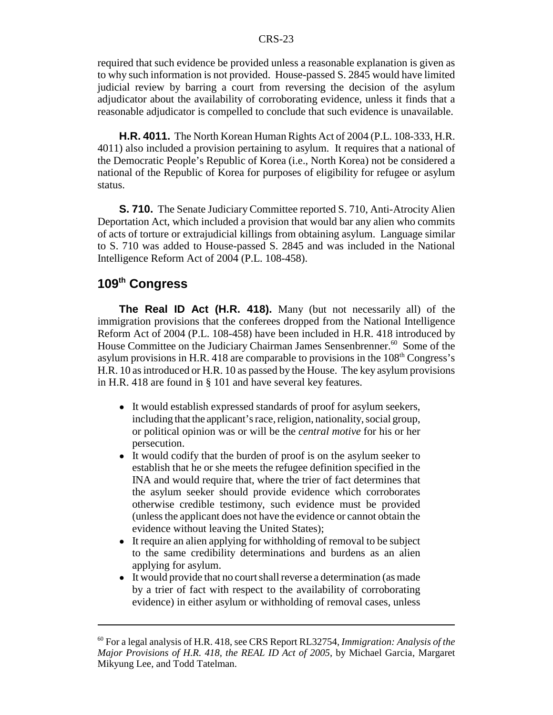required that such evidence be provided unless a reasonable explanation is given as to why such information is not provided. House-passed S. 2845 would have limited judicial review by barring a court from reversing the decision of the asylum adjudicator about the availability of corroborating evidence, unless it finds that a reasonable adjudicator is compelled to conclude that such evidence is unavailable.

**H.R. 4011.** The North Korean Human Rights Act of 2004 (P.L. 108-333, H.R. 4011) also included a provision pertaining to asylum. It requires that a national of the Democratic People's Republic of Korea (i.e., North Korea) not be considered a national of the Republic of Korea for purposes of eligibility for refugee or asylum status.

**S. 710.** The Senate Judiciary Committee reported S. 710, Anti-Atrocity Alien Deportation Act, which included a provision that would bar any alien who commits of acts of torture or extrajudicial killings from obtaining asylum. Language similar to S. 710 was added to House-passed S. 2845 and was included in the National Intelligence Reform Act of 2004 (P.L. 108-458).

## **109th Congress**

**The Real ID Act (H.R. 418).** Many (but not necessarily all) of the immigration provisions that the conferees dropped from the National Intelligence Reform Act of 2004 (P.L. 108-458) have been included in H.R. 418 introduced by House Committee on the Judiciary Chairman James Sensenbrenner.<sup>60</sup> Some of the asylum provisions in H.R. 418 are comparable to provisions in the  $108<sup>th</sup> Congress's$ H.R. 10 as introduced or H.R. 10 as passed by the House. The key asylum provisions in H.R. 418 are found in § 101 and have several key features.

- ! It would establish expressed standards of proof for asylum seekers, including that the applicant's race, religion, nationality, social group, or political opinion was or will be the *central motive* for his or her persecution.
- It would codify that the burden of proof is on the asylum seeker to establish that he or she meets the refugee definition specified in the INA and would require that, where the trier of fact determines that the asylum seeker should provide evidence which corroborates otherwise credible testimony, such evidence must be provided (unless the applicant does not have the evidence or cannot obtain the evidence without leaving the United States);
- It require an alien applying for withholding of removal to be subject to the same credibility determinations and burdens as an alien applying for asylum.
- It would provide that no court shall reverse a determination (as made by a trier of fact with respect to the availability of corroborating evidence) in either asylum or withholding of removal cases, unless

<sup>60</sup> For a legal analysis of H.R. 418, see CRS Report RL32754, *Immigration: Analysis of the Major Provisions of H.R. 418, the REAL ID Act of 2005,* by Michael Garcia, Margaret Mikyung Lee, and Todd Tatelman.